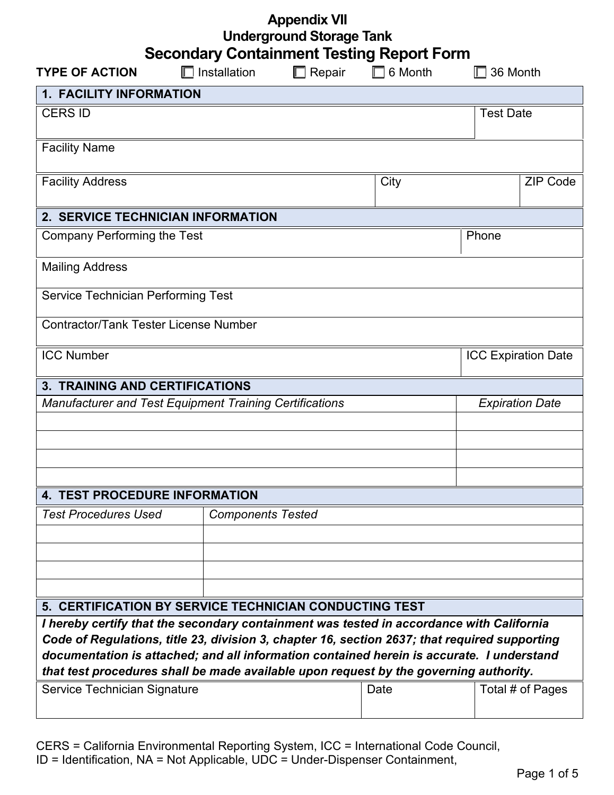| <b>Appendix VII</b>             |  |
|---------------------------------|--|
| <b>Underground Storage Tank</b> |  |

|  | <b>Secondary Containment Testing Report Form</b> |  |  |
|--|--------------------------------------------------|--|--|
|--|--------------------------------------------------|--|--|

| <b>TYPE OF ACTION</b>                                                                                                                                                                     | Installation             | Repair | 6 Month          | 36 Month                   |  |
|-------------------------------------------------------------------------------------------------------------------------------------------------------------------------------------------|--------------------------|--------|------------------|----------------------------|--|
| <b>1. FACILITY INFORMATION</b>                                                                                                                                                            |                          |        |                  |                            |  |
| <b>CERS ID</b>                                                                                                                                                                            |                          |        | <b>Test Date</b> |                            |  |
|                                                                                                                                                                                           |                          |        |                  |                            |  |
| <b>Facility Name</b>                                                                                                                                                                      |                          |        |                  |                            |  |
| <b>Facility Address</b>                                                                                                                                                                   |                          |        | City             | <b>ZIP Code</b>            |  |
|                                                                                                                                                                                           |                          |        |                  |                            |  |
| 2. SERVICE TECHNICIAN INFORMATION                                                                                                                                                         |                          |        |                  |                            |  |
| <b>Company Performing the Test</b>                                                                                                                                                        |                          |        |                  | Phone                      |  |
|                                                                                                                                                                                           |                          |        |                  |                            |  |
| <b>Mailing Address</b>                                                                                                                                                                    |                          |        |                  |                            |  |
| Service Technician Performing Test                                                                                                                                                        |                          |        |                  |                            |  |
| <b>Contractor/Tank Tester License Number</b>                                                                                                                                              |                          |        |                  |                            |  |
|                                                                                                                                                                                           |                          |        |                  |                            |  |
| <b>ICC Number</b>                                                                                                                                                                         |                          |        |                  | <b>ICC Expiration Date</b> |  |
| <b>3. TRAINING AND CERTIFICATIONS</b>                                                                                                                                                     |                          |        |                  |                            |  |
| <b>Manufacturer and Test Equipment Training Certifications</b>                                                                                                                            |                          |        |                  | <b>Expiration Date</b>     |  |
|                                                                                                                                                                                           |                          |        |                  |                            |  |
|                                                                                                                                                                                           |                          |        |                  |                            |  |
|                                                                                                                                                                                           |                          |        |                  |                            |  |
|                                                                                                                                                                                           |                          |        |                  |                            |  |
| <b>4. TEST PROCEDURE INFORMATION</b>                                                                                                                                                      |                          |        |                  |                            |  |
| <b>Test Procedures Used</b>                                                                                                                                                               | <b>Components Tested</b> |        |                  |                            |  |
|                                                                                                                                                                                           |                          |        |                  |                            |  |
|                                                                                                                                                                                           |                          |        |                  |                            |  |
|                                                                                                                                                                                           |                          |        |                  |                            |  |
|                                                                                                                                                                                           |                          |        |                  |                            |  |
| 5. CERTIFICATION BY SERVICE TECHNICIAN CONDUCTING TEST                                                                                                                                    |                          |        |                  |                            |  |
| I hereby certify that the secondary containment was tested in accordance with California<br>Code of Regulations, title 23, division 3, chapter 16, section 2637; that required supporting |                          |        |                  |                            |  |
| documentation is attached; and all information contained herein is accurate. I understand                                                                                                 |                          |        |                  |                            |  |
| that test procedures shall be made available upon request by the governing authority.                                                                                                     |                          |        |                  |                            |  |
| Service Technician Signature                                                                                                                                                              |                          |        | Date             | Total # of Pages           |  |
|                                                                                                                                                                                           |                          |        |                  |                            |  |

CERS = California Environmental Reporting System, ICC = International Code Council, ID = Identification, NA = Not Applicable, UDC = Under-Dispenser Containment,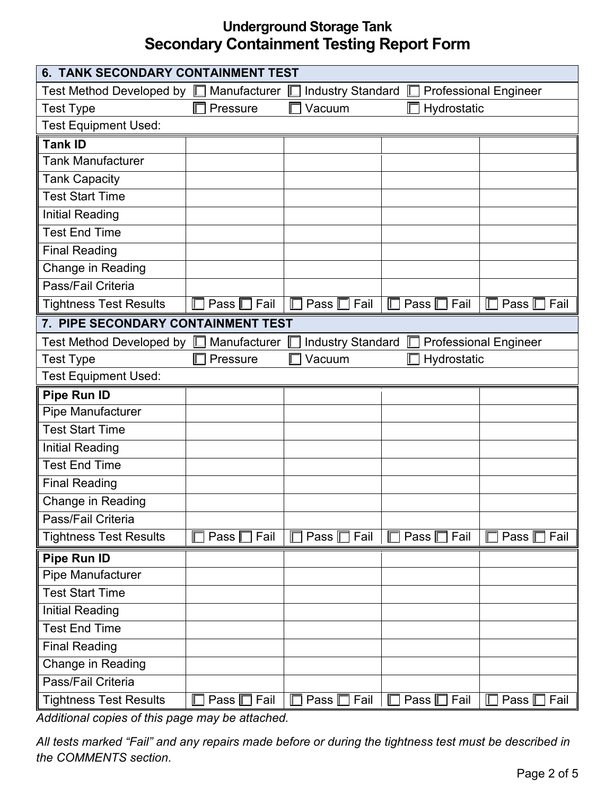| <b>6. TANK SECONDARY CONTAINMENT TEST</b>        |                     |                              |                  |                               |
|--------------------------------------------------|---------------------|------------------------------|------------------|-------------------------------|
| Test Method Developed by $\square$               | Manufacturer        | <b>Industry Standard</b>     | Ш                | <b>Professional Engineer</b>  |
| <b>Test Type</b>                                 | Pressure            | Vacuum                       | Hydrostatic      |                               |
| <b>Test Equipment Used:</b>                      |                     |                              |                  |                               |
| <b>Tank ID</b>                                   |                     |                              |                  |                               |
| <b>Tank Manufacturer</b>                         |                     |                              |                  |                               |
| <b>Tank Capacity</b>                             |                     |                              |                  |                               |
| <b>Test Start Time</b>                           |                     |                              |                  |                               |
| <b>Initial Reading</b>                           |                     |                              |                  |                               |
| <b>Test End Time</b>                             |                     |                              |                  |                               |
| <b>Final Reading</b>                             |                     |                              |                  |                               |
| Change in Reading                                |                     |                              |                  |                               |
| Pass/Fail Criteria                               |                     |                              |                  |                               |
| <b>Tightness Test Results</b>                    | Fail<br>Pass $\Box$ | Pass  <br>Fail               | Fail<br>Pass     | Pass   <br>Fail               |
| 7. PIPE SECONDARY CONTAINMENT TEST               |                     |                              |                  |                               |
| Test Method Developed by $\mathrel{{\mathbb D}}$ | Manufacturer        | <b>Industry Standard</b>     |                  | <b>Professional Engineer</b>  |
| <b>Test Type</b>                                 | Pressure            | Vacuum                       | Hydrostatic      |                               |
| <b>Test Equipment Used:</b>                      |                     |                              |                  |                               |
| Pipe Run ID                                      |                     |                              |                  |                               |
| Pipe Manufacturer                                |                     |                              |                  |                               |
| <b>Test Start Time</b>                           |                     |                              |                  |                               |
| <b>Initial Reading</b>                           |                     |                              |                  |                               |
| <b>Test End Time</b>                             |                     |                              |                  |                               |
| <b>Final Reading</b>                             |                     |                              |                  |                               |
| Change in Reading                                |                     |                              |                  |                               |
| Pass/Fail Criteria                               |                     |                              |                  |                               |
| <b>Tightness Test Results</b>                    | Fail<br>Pass        | Fail<br>Pass $\Box$          | Fail<br>Pass     | Pass   <br>Fail               |
| Pipe Run ID                                      |                     |                              |                  |                               |
| Pipe Manufacturer                                |                     |                              |                  |                               |
| <b>Test Start Time</b>                           |                     |                              |                  |                               |
| <b>Initial Reading</b>                           |                     |                              |                  |                               |
| <b>Test End Time</b>                             |                     |                              |                  |                               |
| <b>Final Reading</b>                             |                     |                              |                  |                               |
| Change in Reading                                |                     |                              |                  |                               |
| Pass/Fail Criteria                               |                     |                              |                  |                               |
| <b>Tightness Test Results</b>                    | Pass $\Box$ Fail    | Fail<br>Pass $\square$<br>IГ | Pass $\Box$ Fail | Fail<br>Pass $\mathbb E$<br>E |

*Additional copies of this page may be attached.*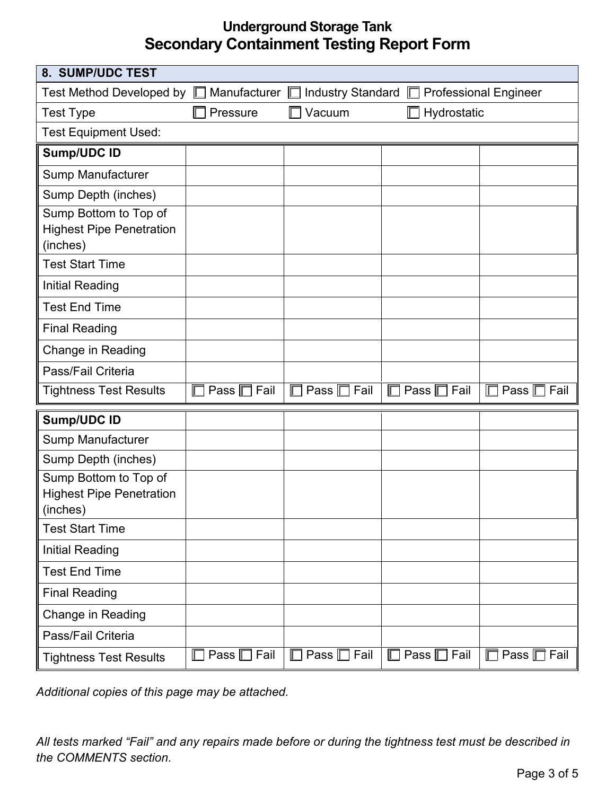| 8. SUMP/UDC TEST                                                     |                          |                             |                  |                               |
|----------------------------------------------------------------------|--------------------------|-----------------------------|------------------|-------------------------------|
| Test Method Developed by $\square$                                   | Manufacturer <b>Lege</b> | Industry Standard $\square$ |                  | <b>Professional Engineer</b>  |
| <b>Test Type</b>                                                     | Pressure                 | Vacuum                      | Hydrostatic      |                               |
| <b>Test Equipment Used:</b>                                          |                          |                             |                  |                               |
| <b>Sump/UDC ID</b>                                                   |                          |                             |                  |                               |
| Sump Manufacturer                                                    |                          |                             |                  |                               |
| Sump Depth (inches)                                                  |                          |                             |                  |                               |
| Sump Bottom to Top of<br><b>Highest Pipe Penetration</b><br>(inches) |                          |                             |                  |                               |
| <b>Test Start Time</b>                                               |                          |                             |                  |                               |
| <b>Initial Reading</b>                                               |                          |                             |                  |                               |
| <b>Test End Time</b>                                                 |                          |                             |                  |                               |
| <b>Final Reading</b>                                                 |                          |                             |                  |                               |
| <b>Change in Reading</b>                                             |                          |                             |                  |                               |
| Pass/Fail Criteria                                                   |                          |                             |                  |                               |
| <b>Tightness Test Results</b>                                        | Pass $\Box$ Fail         | $\Box$<br>Pass $\Box$ Fail  | Pass $\Box$ Fail | $\Box$<br>Pass $\Box$<br>Fail |
| <b>Sump/UDC ID</b>                                                   |                          |                             |                  |                               |
| Sump Manufacturer                                                    |                          |                             |                  |                               |
| Sump Depth (inches)                                                  |                          |                             |                  |                               |
| Sump Bottom to Top of<br><b>Highest Pipe Penetration</b><br>(inches) |                          |                             |                  |                               |
| <b>Test Start Time</b>                                               |                          |                             |                  |                               |
| <b>Initial Reading</b>                                               |                          |                             |                  |                               |
| <b>Test End Time</b>                                                 |                          |                             |                  |                               |
| <b>Final Reading</b>                                                 |                          |                             |                  |                               |
| Change in Reading                                                    |                          |                             |                  |                               |
| Pass/Fail Criteria                                                   |                          |                             |                  |                               |
| <b>Tightness Test Results</b>                                        | Pass $\Box$ Fail         | Pass $\Box$ Fail<br>$\Box$  | Pass □ Fail      | Pass $\Box$ Fail<br>$\Box$    |

*Additional copies of this page may be attached.*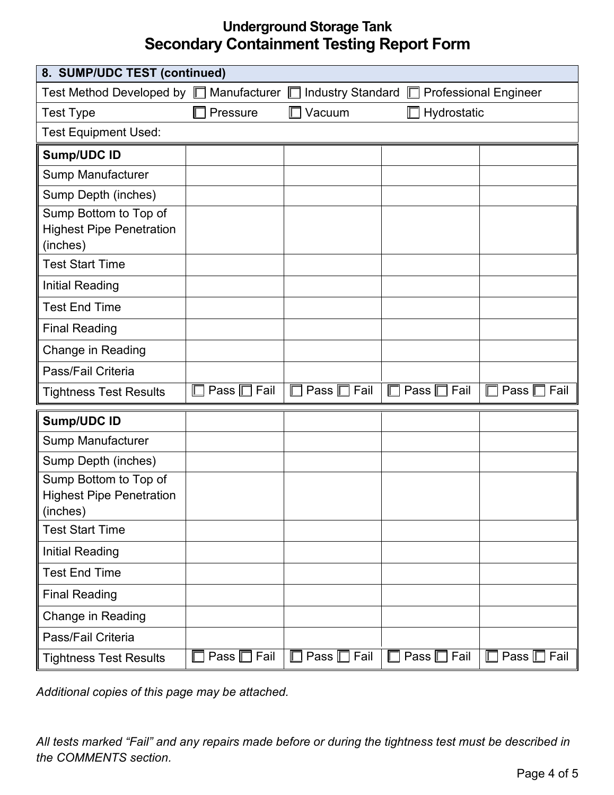| 8. SUMP/UDC TEST (continued)                                         |                  |                            |                                           |                               |
|----------------------------------------------------------------------|------------------|----------------------------|-------------------------------------------|-------------------------------|
| Test Method Developed by $\square$ Manufacturer $\square$            |                  |                            | Industry Standard □ Professional Engineer |                               |
| <b>Test Type</b>                                                     | Pressure         | Vacuum                     | Hydrostatic                               |                               |
| <b>Test Equipment Used:</b>                                          |                  |                            |                                           |                               |
| <b>Sump/UDC ID</b>                                                   |                  |                            |                                           |                               |
| Sump Manufacturer                                                    |                  |                            |                                           |                               |
| Sump Depth (inches)                                                  |                  |                            |                                           |                               |
| Sump Bottom to Top of<br><b>Highest Pipe Penetration</b><br>(inches) |                  |                            |                                           |                               |
| <b>Test Start Time</b>                                               |                  |                            |                                           |                               |
| <b>Initial Reading</b>                                               |                  |                            |                                           |                               |
| <b>Test End Time</b>                                                 |                  |                            |                                           |                               |
| <b>Final Reading</b>                                                 |                  |                            |                                           |                               |
| <b>Change in Reading</b>                                             |                  |                            |                                           |                               |
| Pass/Fail Criteria                                                   |                  |                            |                                           |                               |
| <b>Tightness Test Results</b>                                        | Pass □ Fail      | Pass $\Box$ Fail           | Pass $\Box$ Fail                          | Fail<br>Pass $\square$<br>E   |
| <b>Sump/UDC ID</b>                                                   |                  |                            |                                           |                               |
| Sump Manufacturer                                                    |                  |                            |                                           |                               |
| Sump Depth (inches)                                                  |                  |                            |                                           |                               |
| Sump Bottom to Top of<br><b>Highest Pipe Penetration</b><br>(inches) |                  |                            |                                           |                               |
| <b>Test Start Time</b>                                               |                  |                            |                                           |                               |
| <b>Initial Reading</b>                                               |                  |                            |                                           |                               |
| <b>Test End Time</b>                                                 |                  |                            |                                           |                               |
| <b>Final Reading</b>                                                 |                  |                            |                                           |                               |
| Change in Reading                                                    |                  |                            |                                           |                               |
| Pass/Fail Criteria                                                   |                  |                            |                                           |                               |
| <b>Tightness Test Results</b>                                        | Pass $\Box$ Fail | Pass $\Box$ Fail<br>$\Box$ | Pass $\Box$ Fail<br>$\Box$                | Pass $\square$ Fail<br>$\Box$ |

*Additional copies of this page may be attached.*